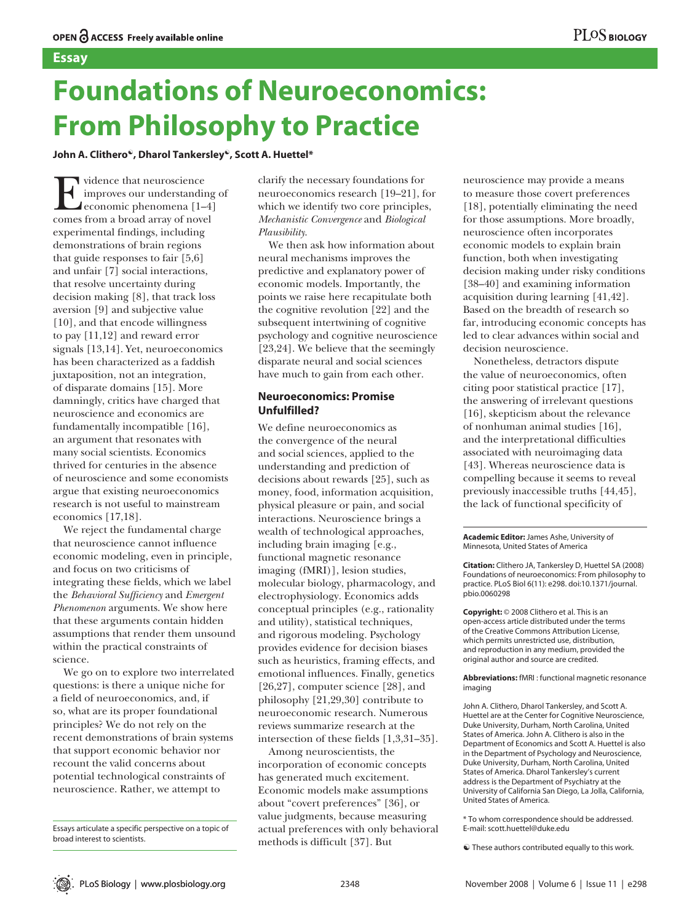# **Foundations of Neuroeconomics: From Philosophy to Practice**

**John A. Clithero☯, Dharol Tankersley☯, Scott A. Huettel\***

Evidence that neuroscience comes from a broad array of novel improves our understanding of economic phenomena [1–4] experimental findings, including demonstrations of brain regions that guide responses to fair [5,6] and unfair [7] social interactions, that resolve uncertainty during decision making [8], that track loss aversion [9] and subjective value [10], and that encode willingness to pay [11,12] and reward error signals [13,14]. Yet, neuroeconomics has been characterized as a faddish juxtaposition, not an integration, of disparate domains [15]. More damningly, critics have charged that neuroscience and economics are fundamentally incompatible [16], an argument that resonates with many social scientists. Economics thrived for centuries in the absence of neuroscience and some economists argue that existing neuroeconomics research is not useful to mainstream economics [17,18].

We reject the fundamental charge that neuroscience cannot influence economic modeling, even in principle, and focus on two criticisms of integrating these fields, which we label the *Behavioral Sufficiency* and *Emergent Phenomenon* arguments. We show here that these arguments contain hidden assumptions that render them unsound within the practical constraints of science.

We go on to explore two interrelated questions: is there a unique niche for a field of neuroeconomics, and, if so, what are its proper foundational principles? We do not rely on the recent demonstrations of brain systems that support economic behavior nor recount the valid concerns about potential technological constraints of neuroscience. Rather, we attempt to

clarify the necessary foundations for neuroeconomics research [19–21], for which we identify two core principles, *Mechanistic Convergence* and *Biological Plausibility*.

We then ask how information about neural mechanisms improves the predictive and explanatory power of economic models. Importantly, the points we raise here recapitulate both the cognitive revolution [22] and the subsequent intertwining of cognitive psychology and cognitive neuroscience [23,24]. We believe that the seemingly disparate neural and social sciences have much to gain from each other.

# **Neuroeconomics: Promise Unfulfilled?**

We define neuroeconomics as the convergence of the neural and social sciences, applied to the understanding and prediction of decisions about rewards [25], such as money, food, information acquisition, physical pleasure or pain, and social interactions. Neuroscience brings a wealth of technological approaches, including brain imaging [e.g., functional magnetic resonance imaging (fMRI)], lesion studies, molecular biology, pharmacology, and electrophysiology. Economics adds conceptual principles (e.g., rationality and utility), statistical techniques, and rigorous modeling. Psychology provides evidence for decision biases such as heuristics, framing effects, and emotional influences. Finally, genetics [26,27], computer science [28], and philosophy [21,29,30] contribute to neuroeconomic research. Numerous reviews summarize research at the intersection of these fields [1,3,31–35].

Among neuroscientists, the incorporation of economic concepts has generated much excitement. Economic models make assumptions about "covert preferences" [36], or value judgments, because measuring actual preferences with only behavioral methods is difficult [37]. But

neuroscience may provide a means to measure those covert preferences [18], potentially eliminating the need for those assumptions. More broadly, neuroscience often incorporates economic models to explain brain function, both when investigating decision making under risky conditions [38–40] and examining information acquisition during learning [41,42]. Based on the breadth of research so far, introducing economic concepts has led to clear advances within social and decision neuroscience.

Nonetheless, detractors dispute the value of neuroeconomics, often citing poor statistical practice [17], the answering of irrelevant questions [16], skepticism about the relevance of nonhuman animal studies [16], and the interpretational difficulties associated with neuroimaging data [43]. Whereas neuroscience data is compelling because it seems to reveal previously inaccessible truths [44,45], the lack of functional specificity of

**Academic Editor:** James Ashe, University of Minnesota, United States of America

**Citation:** Clithero JA, Tankersley D, Huettel SA (2008) Foundations of neuroeconomics: From philosophy to practice. PLoS Biol 6(11): e298. doi:10.1371/journal. pbio.0060298

**Copyright:** © 2008 Clithero et al. This is an open-access article distributed under the terms of the Creative Commons Attribution License, which permits unrestricted use, distribution, and reproduction in any medium, provided the original author and source are credited.

**Abbreviations:** fMRI : functional magnetic resonance imaging

John A. Clithero, Dharol Tankersley, and Scott A. Huettel are at the Center for Cognitive Neuroscience, Duke University, Durham, North Carolina, United States of America. John A. Clithero is also in the Department of Economics and Scott A. Huettel is also in the Department of Psychology and Neuroscience, Duke University, Durham, North Carolina, United States of America. Dharol Tankersley's current address is the Department of Psychiatry at the University of California San Diego, La Jolla, California, United States of America.

\* To whom correspondence should be addressed. E-mail: scott.huettel@duke.edu

 $\bullet$  These authors contributed equally to this work.

Essays articulate a specific perspective on a topic of broad interest to scientists.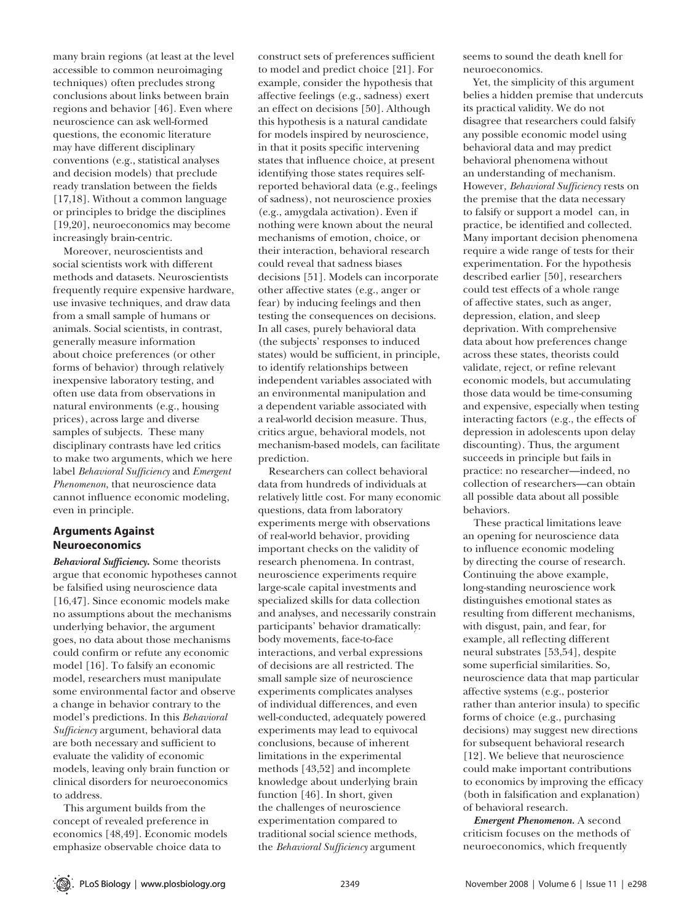many brain regions (at least at the level accessible to common neuroimaging techniques) often precludes strong conclusions about links between brain regions and behavior [46]. Even where neuroscience can ask well-formed questions, the economic literature may have different disciplinary conventions (e.g., statistical analyses and decision models) that preclude ready translation between the fields [17,18]. Without a common language or principles to bridge the disciplines [19,20], neuroeconomics may become increasingly brain-centric.

Moreover, neuroscientists and social scientists work with different methods and datasets. Neuroscientists frequently require expensive hardware, use invasive techniques, and draw data from a small sample of humans or animals. Social scientists, in contrast, generally measure information about choice preferences (or other forms of behavior) through relatively inexpensive laboratory testing, and often use data from observations in natural environments (e.g., housing prices), across large and diverse samples of subjects. These many disciplinary contrasts have led critics to make two arguments, which we here label *Behavioral Sufficiency* and *Emergent Phenomenon*, that neuroscience data cannot influence economic modeling, even in principle.

## **Arguments Against Neuroeconomics**

*Behavioral Sufficiency***.** Some theorists argue that economic hypotheses cannot be falsified using neuroscience data [16,47]. Since economic models make no assumptions about the mechanisms underlying behavior, the argument goes, no data about those mechanisms could confirm or refute any economic model [16]. To falsify an economic model, researchers must manipulate some environmental factor and observe a change in behavior contrary to the model's predictions. In this *Behavioral Sufficiency* argument, behavioral data are both necessary and sufficient to evaluate the validity of economic models, leaving only brain function or clinical disorders for neuroeconomics to address.

This argument builds from the concept of revealed preference in economics [48,49]. Economic models emphasize observable choice data to

construct sets of preferences sufficient to model and predict choice [21]. For example, consider the hypothesis that affective feelings (e.g., sadness) exert an effect on decisions [50]. Although this hypothesis is a natural candidate for models inspired by neuroscience, in that it posits specific intervening states that influence choice, at present identifying those states requires selfreported behavioral data (e.g., feelings of sadness), not neuroscience proxies (e.g., amygdala activation). Even if nothing were known about the neural mechanisms of emotion, choice, or their interaction, behavioral research could reveal that sadness biases decisions [51]. Models can incorporate other affective states (e.g., anger or fear) by inducing feelings and then testing the consequences on decisions. In all cases, purely behavioral data (the subjects' responses to induced states) would be sufficient, in principle, to identify relationships between independent variables associated with an environmental manipulation and a dependent variable associated with a real-world decision measure. Thus, critics argue, behavioral models, not mechanism-based models, can facilitate prediction.

Researchers can collect behavioral data from hundreds of individuals at relatively little cost. For many economic questions, data from laboratory experiments merge with observations of real-world behavior, providing important checks on the validity of research phenomena. In contrast, neuroscience experiments require large-scale capital investments and specialized skills for data collection and analyses, and necessarily constrain participants' behavior dramatically: body movements, face-to-face interactions, and verbal expressions of decisions are all restricted. The small sample size of neuroscience experiments complicates analyses of individual differences, and even well-conducted, adequately powered experiments may lead to equivocal conclusions, because of inherent limitations in the experimental methods [43,52] and incomplete knowledge about underlying brain function [46]. In short, given the challenges of neuroscience experimentation compared to traditional social science methods, the *Behavioral Sufficiency* argument

seems to sound the death knell for neuroeconomics.

Yet, the simplicity of this argument belies a hidden premise that undercuts its practical validity. We do not disagree that researchers could falsify any possible economic model using behavioral data and may predict behavioral phenomena without an understanding of mechanism. However, *Behavioral Sufficiency* rests on the premise that the data necessary to falsify or support a model can, in practice, be identified and collected. Many important decision phenomena require a wide range of tests for their experimentation. For the hypothesis described earlier [50], researchers could test effects of a whole range of affective states, such as anger, depression, elation, and sleep deprivation. With comprehensive data about how preferences change across these states, theorists could validate, reject, or refine relevant economic models, but accumulating those data would be time-consuming and expensive, especially when testing interacting factors (e.g., the effects of depression in adolescents upon delay discounting). Thus, the argument succeeds in principle but fails in practice: no researcher—indeed, no collection of researchers—can obtain all possible data about all possible behaviors.

These practical limitations leave an opening for neuroscience data to influence economic modeling by directing the course of research. Continuing the above example, long-standing neuroscience work distinguishes emotional states as resulting from different mechanisms, with disgust, pain, and fear, for example, all reflecting different neural substrates [53,54], despite some superficial similarities. So, neuroscience data that map particular affective systems (e.g., posterior rather than anterior insula) to specific forms of choice (e.g., purchasing decisions) may suggest new directions for subsequent behavioral research [12]. We believe that neuroscience could make important contributions to economics by improving the efficacy (both in falsification and explanation) of behavioral research.

*Emergent Phenomenon.* A second criticism focuses on the methods of neuroeconomics, which frequently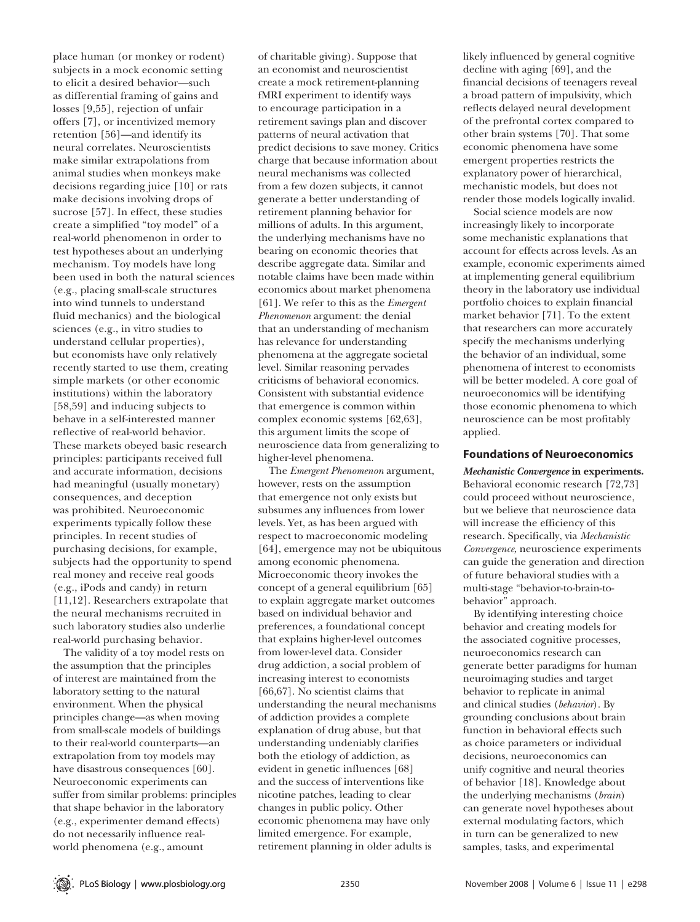place human (or monkey or rodent) subjects in a mock economic setting to elicit a desired behavior—such as differential framing of gains and losses [9,55], rejection of unfair offers [7], or incentivized memory retention [56]—and identify its neural correlates. Neuroscientists make similar extrapolations from animal studies when monkeys make decisions regarding juice [10] or rats make decisions involving drops of sucrose [57]. In effect, these studies create a simplified "toy model" of a real-world phenomenon in order to test hypotheses about an underlying mechanism. Toy models have long been used in both the natural sciences (e.g., placing small-scale structures into wind tunnels to understand fluid mechanics) and the biological sciences (e.g., in vitro studies to understand cellular properties), but economists have only relatively recently started to use them, creating simple markets (or other economic institutions) within the laboratory [58,59] and inducing subjects to behave in a self-interested manner reflective of real-world behavior. These markets obeyed basic research principles: participants received full and accurate information, decisions had meaningful (usually monetary) consequences, and deception was prohibited. Neuroeconomic experiments typically follow these principles. In recent studies of purchasing decisions, for example, subjects had the opportunity to spend real money and receive real goods (e.g., iPods and candy) in return [11,12]. Researchers extrapolate that the neural mechanisms recruited in such laboratory studies also underlie real-world purchasing behavior.

The validity of a toy model rests on the assumption that the principles of interest are maintained from the laboratory setting to the natural environment. When the physical principles change—as when moving from small-scale models of buildings to their real-world counterparts—an extrapolation from toy models may have disastrous consequences [60]. Neuroeconomic experiments can suffer from similar problems: principles that shape behavior in the laboratory (e.g., experimenter demand effects) do not necessarily influence realworld phenomena (e.g., amount

of charitable giving). Suppose that an economist and neuroscientist create a mock retirement-planning fMRI experiment to identify ways to encourage participation in a retirement savings plan and discover patterns of neural activation that predict decisions to save money. Critics charge that because information about neural mechanisms was collected from a few dozen subjects, it cannot generate a better understanding of retirement planning behavior for millions of adults. In this argument, the underlying mechanisms have no bearing on economic theories that describe aggregate data. Similar and notable claims have been made within economics about market phenomena [61]. We refer to this as the *Emergent Phenomenon* argument: the denial that an understanding of mechanism has relevance for understanding phenomena at the aggregate societal level. Similar reasoning pervades criticisms of behavioral economics. Consistent with substantial evidence that emergence is common within complex economic systems [62,63], this argument limits the scope of neuroscience data from generalizing to higher-level phenomena.

The *Emergent Phenomenon* argument, however, rests on the assumption that emergence not only exists but subsumes any influences from lower levels. Yet, as has been argued with respect to macroeconomic modeling [64], emergence may not be ubiquitous among economic phenomena. Microeconomic theory invokes the concept of a general equilibrium [65] to explain aggregate market outcomes based on individual behavior and preferences, a foundational concept that explains higher-level outcomes from lower-level data. Consider drug addiction, a social problem of increasing interest to economists [66,67]. No scientist claims that understanding the neural mechanisms of addiction provides a complete explanation of drug abuse, but that understanding undeniably clarifies both the etiology of addiction, as evident in genetic influences [68] and the success of interventions like nicotine patches, leading to clear changes in public policy. Other economic phenomena may have only limited emergence. For example, retirement planning in older adults is

likely influenced by general cognitive decline with aging [69], and the financial decisions of teenagers reveal a broad pattern of impulsivity, which reflects delayed neural development of the prefrontal cortex compared to other brain systems [70]. That some economic phenomena have some emergent properties restricts the explanatory power of hierarchical, mechanistic models, but does not render those models logically invalid.

Social science models are now increasingly likely to incorporate some mechanistic explanations that account for effects across levels. As an example, economic experiments aimed at implementing general equilibrium theory in the laboratory use individual portfolio choices to explain financial market behavior [71]. To the extent that researchers can more accurately specify the mechanisms underlying the behavior of an individual, some phenomena of interest to economists will be better modeled. A core goal of neuroeconomics will be identifying those economic phenomena to which neuroscience can be most profitably applied.

#### **Foundations of Neuroeconomics**

*Mechanistic Convergence* **in experiments.**  Behavioral economic research [72,73] could proceed without neuroscience, but we believe that neuroscience data will increase the efficiency of this research. Specifically, via *Mechanistic Convergence*, neuroscience experiments can guide the generation and direction of future behavioral studies with a multi-stage "behavior-to-brain-tobehavior" approach.

By identifying interesting choice behavior and creating models for the associated cognitive processes, neuroeconomics research can generate better paradigms for human neuroimaging studies and target behavior to replicate in animal and clinical studies (*behavior*). By grounding conclusions about brain function in behavioral effects such as choice parameters or individual decisions, neuroeconomics can unify cognitive and neural theories of behavior [18]. Knowledge about the underlying mechanisms (*brain*) can generate novel hypotheses about external modulating factors, which in turn can be generalized to new samples, tasks, and experimental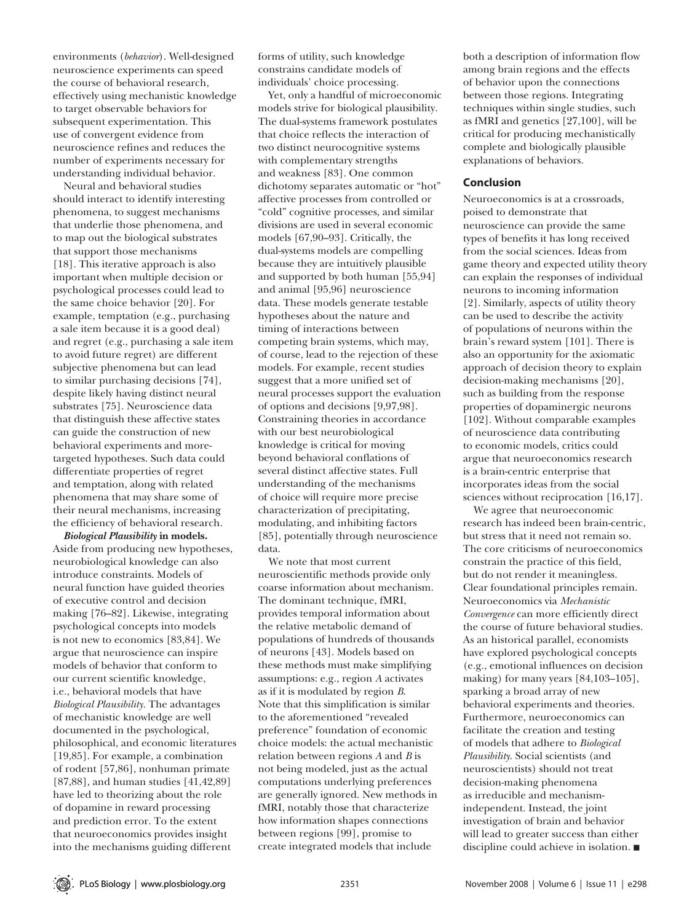environments (*behavior*). Well-designed neuroscience experiments can speed the course of behavioral research, effectively using mechanistic knowledge to target observable behaviors for subsequent experimentation. This use of convergent evidence from neuroscience refines and reduces the number of experiments necessary for understanding individual behavior.

Neural and behavioral studies should interact to identify interesting phenomena, to suggest mechanisms that underlie those phenomena, and to map out the biological substrates that support those mechanisms [18]. This iterative approach is also important when multiple decision or psychological processes could lead to the same choice behavior [20]. For example, temptation (e.g., purchasing a sale item because it is a good deal) and regret (e.g., purchasing a sale item to avoid future regret) are different subjective phenomena but can lead to similar purchasing decisions [74], despite likely having distinct neural substrates [75]. Neuroscience data that distinguish these affective states can guide the construction of new behavioral experiments and moretargeted hypotheses. Such data could differentiate properties of regret and temptation, along with related phenomena that may share some of their neural mechanisms, increasing the efficiency of behavioral research.

*Biological Plausibility* **in models.** Aside from producing new hypotheses, neurobiological knowledge can also introduce constraints. Models of neural function have guided theories of executive control and decision making [76–82]. Likewise, integrating psychological concepts into models is not new to economics [83,84]. We argue that neuroscience can inspire models of behavior that conform to our current scientific knowledge, i.e., behavioral models that have *Biological Plausibility.* The advantages of mechanistic knowledge are well documented in the psychological, philosophical, and economic literatures [19,85]. For example, a combination of rodent [57,86], nonhuman primate [87,88], and human studies [41,42,89] have led to theorizing about the role of dopamine in reward processing and prediction error. To the extent that neuroeconomics provides insight into the mechanisms guiding different

forms of utility, such knowledge constrains candidate models of individuals' choice processing.

Yet, only a handful of microeconomic models strive for biological plausibility. The dual-systems framework postulates that choice reflects the interaction of two distinct neurocognitive systems with complementary strengths and weakness [83]. One common dichotomy separates automatic or "hot" affective processes from controlled or "cold" cognitive processes, and similar divisions are used in several economic models [67,90–93]. Critically, the dual-systems models are compelling because they are intuitively plausible and supported by both human [55,94] and animal [95,96] neuroscience data. These models generate testable hypotheses about the nature and timing of interactions between competing brain systems, which may, of course, lead to the rejection of these models. For example, recent studies suggest that a more unified set of neural processes support the evaluation of options and decisions [9,97,98]. Constraining theories in accordance with our best neurobiological knowledge is critical for moving beyond behavioral conflations of several distinct affective states. Full understanding of the mechanisms of choice will require more precise characterization of precipitating, modulating, and inhibiting factors [85], potentially through neuroscience data.

We note that most current neuroscientific methods provide only coarse information about mechanism. The dominant technique, fMRI, provides temporal information about the relative metabolic demand of populations of hundreds of thousands of neurons [43]. Models based on these methods must make simplifying assumptions: e.g., region *A* activates as if it is modulated by region *B*. Note that this simplification is similar to the aforementioned "revealed preference" foundation of economic choice models: the actual mechanistic relation between regions *A* and *B* is not being modeled, just as the actual computations underlying preferences are generally ignored. New methods in fMRI, notably those that characterize how information shapes connections between regions [99], promise to create integrated models that include

both a description of information flow among brain regions and the effects of behavior upon the connections between those regions. Integrating techniques within single studies, such as fMRI and genetics [27,100], will be critical for producing mechanistically complete and biologically plausible explanations of behaviors.

#### **Conclusion**

Neuroeconomics is at a crossroads, poised to demonstrate that neuroscience can provide the same types of benefits it has long received from the social sciences. Ideas from game theory and expected utility theory can explain the responses of individual neurons to incoming information [2]. Similarly, aspects of utility theory can be used to describe the activity of populations of neurons within the brain's reward system [101]. There is also an opportunity for the axiomatic approach of decision theory to explain decision-making mechanisms [20], such as building from the response properties of dopaminergic neurons [102]. Without comparable examples of neuroscience data contributing to economic models, critics could argue that neuroeconomics research is a brain-centric enterprise that incorporates ideas from the social sciences without reciprocation [16,17].

We agree that neuroeconomic research has indeed been brain-centric, but stress that it need not remain so. The core criticisms of neuroeconomics constrain the practice of this field, but do not render it meaningless. Clear foundational principles remain. Neuroeconomics via *Mechanistic Convergence* can more efficiently direct the course of future behavioral studies. As an historical parallel, economists have explored psychological concepts (e.g., emotional influences on decision making) for many years [84,103–105], sparking a broad array of new behavioral experiments and theories. Furthermore, neuroeconomics can facilitate the creation and testing of models that adhere to *Biological Plausibility*. Social scientists (and neuroscientists) should not treat decision-making phenomena as irreducible and mechanismindependent. Instead, the joint investigation of brain and behavior will lead to greater success than either discipline could achieve in isolation.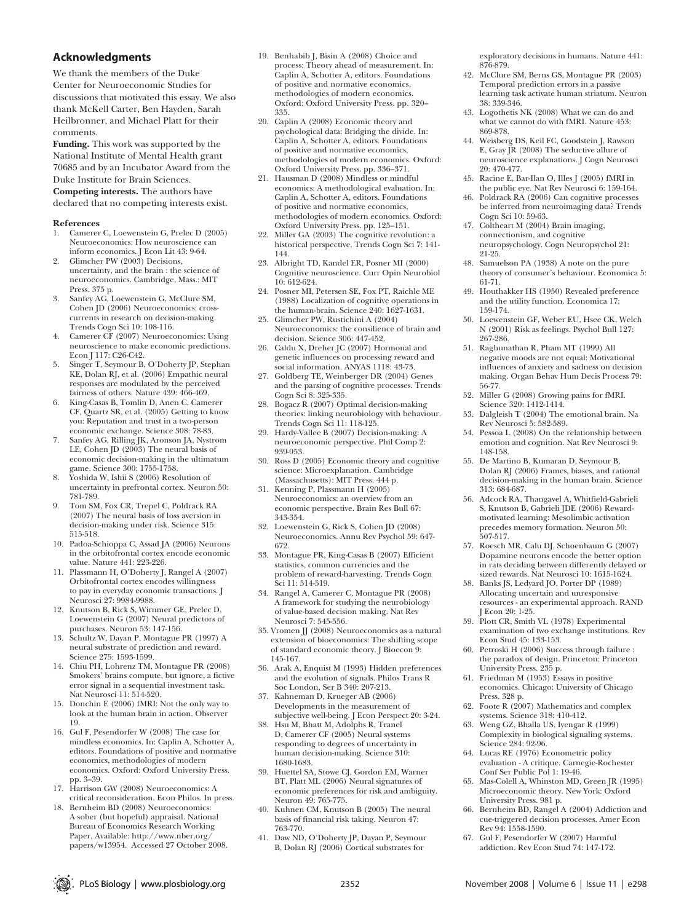## **Acknowledgments**

We thank the members of the Duke Center for Neuroeconomic Studies for discussions that motivated this essay. We also thank McKell Carter, Ben Hayden, Sarah Heilbronner, and Michael Platt for their comments.

**Funding.** This work was supported by the National Institute of Mental Health grant 70685 and by an Incubator Award from the

Duke Institute for Brain Sciences.

**Competing interests.** The authors have declared that no competing interests exist.

# **References**

- 1. Camerer C, Loewenstein G, Prelec D (2005) Neuroeconomics: How neuroscience can inform economics. J Econ Lit 43: 9-64.
- Glimcher PW (2003) Decisions, uncertainty, and the brain : the science of neuroeconomics. Cambridge, Mass.: MIT Press. 375 p.
- 3. Sanfey AG, Loewenstein G, McClure SM, Cohen JD (2006) Neuroeconomics: crosscurrents in research on decision-making. Trends Cogn Sci 10: 108-116.
- 4. Camerer CF (2007) Neuroeconomics: Using neuroscience to make economic predictions. Econ J 117: C26-C42.
- 5. Singer T, Seymour B, O'Doherty JP, Stephan KE, Dolan RJ, et al. (2006) Empathic neural responses are modulated by the perceived fairness of others. Nature 439: 466-469.
- 6. King-Casas B, Tomlin D, Anen C, Camerer CF, Quartz SR, et al. (2005) Getting to know you: Reputation and trust in a two-person economic exchange. Science 308: 78-83.
- 7. Sanfey AG, Rilling JK, Aronson JA, Nystrom LE, Cohen JD (2003) The neural basis of economic decision-making in the ultimatum game. Science 300: 1755-1758.
- 8. Yoshida W, Ishii S (2006) Resolution of uncertainty in prefrontal cortex. Neuron 50: 781-789.
- 9. Tom SM, Fox CR, Trepel C, Poldrack RA (2007) The neural basis of loss aversion in decision-making under risk. Science 315: 515-518.
- 10. Padoa-Schioppa C, Assad JA (2006) Neurons in the orbitofrontal cortex encode economic value. Nature 441: 223-226.
- 11. Plassmann H, O'Doherty J, Rangel A (2007) Orbitofrontal cortex encodes willingness to pay in everyday economic transactions. J Neurosci 27: 9984-9988.
- 12. Knutson B, Rick S, Wirnmer GE, Prelec D, Loewenstein G (2007) Neural predictors of purchases. Neuron 53: 147-156.
- 13. Schultz W, Dayan P, Montague PR (1997) A neural substrate of prediction and reward. Science 275: 1593-1599.
- 14. Chiu PH, Lohrenz TM, Montague PR (2008) Smokers' brains compute, but ignore, a fictive error signal in a sequential investment task. Nat Neurosci 11: 514-520.
- 15. Donchin E (2006) fMRI: Not the only way to look at the human brain in action. Observer 19.
- 16. Gul F, Pesendorfer W (2008) The case for mindless economics. In: Caplin A, Schotter A, editors. Foundations of positive and normative economics, methodologies of modern economics. Oxford: Oxford University Press. pp. 3–39.
- pp. 3-35.<br>17. Harrison GW (2008) Neuroeconomics: A critical reconsideration. Econ Philos. In press.
- 18. Bernheim BD (2008) Neuroeconomics: A sober (but hopeful) appraisal. National Bureau of Economics Research Working Paper. Available: http://www.nber.org/ papers/w13954. Accessed 27 October 2008.
- 19. Benhabib J, Bisin A (2008) Choice and process: Theory ahead of measurement. In: Caplin A, Schotter A, editors. Foundations of positive and normative economics, methodologies of modern economics. Oxford: Oxford University Press. pp. 320– 335.
- 20. Caplin A (2008) Economic theory and psychological data: Bridging the divide. In: Caplin A, Schotter A, editors. Foundations of positive and normative economics, methodologies of modern economics. Oxford: Oxford University Press. pp. 336–371.
- 21. Hausman D (2008) Mindless or mindful economics: A methodological evaluation. In: Caplin A, Schotter A, editors. Foundations of positive and normative economics, methodologies of modern economics. Oxford: Oxford University Press. pp. 125–151.
- 22. Miller GA (2003) The cognitive revolution: a historical perspective. Trends Cogn Sci 7: 141- 144.
- 23. Albright TD, Kandel ER, Posner MI (2000) Cognitive neuroscience. Curr Opin Neurobiol 10: 612-624.
- 24. Posner MI, Petersen SE, Fox PT, Raichle ME (1988) Localization of cognitive operations in the human-brain. Science 240: 1627-1631.
- 25. Glimcher PW, Rustichini A (2004) Neuroeconomics: the consilience of brain and decision. Science 306: 447-452.
- 26. Caldu X, Dreher JC (2007) Hormonal and genetic influences on processing reward and social information. ANYAS 1118: 43-73.
- 27. Goldberg TE, Weinberger DR (2004) Genes and the parsing of cognitive processes. Trends Cogn Sci 8: 325-335.
- 28. Bogacz R (2007) Optimal decision-making theories: linking neurobiology with behaviour. Trends Cogn Sci 11: 118-125.
- 29. Hardy-Vallee B (2007) Decision-making: A neuroeconomic perspective. Phil Comp 2: 939-953.
- 30. Ross D (2005) Economic theory and cognitive science: Microexplanation. Cambridge (Massachusetts): MIT Press. 444 p.
- 31. Kenning P, Plassmann H (2005) Neuroeconomics: an overview from an economic perspective. Brain Res Bull 67: 343-354.
- 32. Loewenstein G, Rick S, Cohen JD (2008) Neuroeconomics. Annu Rev Psychol 59: 647- 672.
- 33. Montague PR, King-Casas B (2007) Efficient statistics, common currencies and the problem of reward-harvesting. Trends Cogn Sci 11: 514-519.
- 34. Rangel A, Camerer C, Montague PR (2008) A framework for studying the neurobiology of value-based decision making. Nat Rev Neurosci 7: 545-556.
- 35. Vromen JJ (2008) Neuroeconomics as a natural extension of bioeconomics: The shifting scope of standard economic theory. J Bioecon 9: 145-167.
- 36. Arak A, Enquist M (1993) Hidden preferences and the evolution of signals. Philos Trans R Soc London, Ser B 340: 207-213.
- 37. Kahneman D, Krueger AB (2006) Developments in the measurement of subjective well-being. J Econ Perspect 20: 3-24.
- 38. Hsu M, Bhatt M, Adolphs R, Tranel D, Camerer CF (2005) Neural systems responding to degrees of uncertainty in human decision-making. Science 310: 1680-1683.
- 39. Huettel SA, Stowe CJ, Gordon EM, Warner BT, Platt ML (2006) Neural signatures of economic preferences for risk and ambiguity. Neuron 49: 765-775.
- 40. Kuhnen CM, Knutson B (2005) The neural basis of financial risk taking. Neuron 47: 763-770.
- 41. Daw ND, O'Doherty JP, Dayan P, Seymour B, Dolan RJ (2006) Cortical substrates for

exploratory decisions in humans. Nature 441: 876-879.

- 42. McClure SM, Berns GS, Montague PR (2003) Temporal prediction errors in a passive learning task activate human striatum. Neuron 38: 339-346.
- 43. Logothetis NK (2008) What we can do and what we cannot do with fMRI. Nature 453: 869-878.
- 44. Weisberg DS, Keil FC, Goodstein J, Rawson E, Gray JR (2008) The seductive allure of neuroscience explanations. J Cogn Neurosci 20: 470-477.
- 45. Racine E, Bar-Ilan O, Illes J (2005) fMRI in the public eye. Nat Rev Neurosci 6: 159-164.
- 46. Poldrack RA (2006) Can cognitive processes be inferred from neuroimaging data? Trends Cogn Sci 10: 59-63.
- 47. Coltheart M (2004) Brain imaging, connectionism, and cognitive neuropsychology. Cogn Neuropsychol 21: 21-25.
- 48. Samuelson PA (1938) A note on the pure theory of consumer's behaviour. Economica 5: 61-71.
- 49. Houthakker HS (1950) Revealed preference and the utility function. Economica 17: 159-174.
- 50. Loewenstein GF, Weber EU, Hsee CK, Welch N (2001) Risk as feelings. Psychol Bull 127: 267-286.
- 51. Raghunathan R, Pham MT (1999) All negative moods are not equal: Motivational influences of anxiety and sadness on decision making. Organ Behav Hum Decis Process 79: 56-77.
- 52. Miller G (2008) Growing pains for fMRI. Science 320: 1412-1414.
- 53. Dalgleish T (2004) The emotional brain. Na Rev Neurosci 5: 582-589.
- 54. Pessoa L (2008) On the relationship between emotion and cognition. Nat Rev Neurosci 9: 148-158.
- 55. De Martino B, Kumaran D, Seymour B, Dolan RJ (2006) Frames, biases, and rational decision-making in the human brain. Science 313: 684-687.
- 56. Adcock RA, Thangavel A, Whitfield-Gabrieli S, Knutson B, Gabrieli JDE (2006) Rewardmotivated learning: Mesolimbic activation precedes memory formation. Neuron 50: 507-517.
- 57. Roesch MR, Calu DJ, Schoenbaum G (2007) Dopamine neurons encode the better option in rats deciding between differently delayed or sized rewards. Nat Neurosci 10: 1615-1624.
- 58. Banks JS, Ledyard JO, Porter DP (1989) Allocating uncertain and unresponsive resources - an experimental approach. RAND J Econ 20: 1-25.
- 59. Plott CR, Smith VL (1978) Experimental examination of two exchange institutions. Rev Econ Stud 45: 133-153.
- 60. Petroski H (2006) Success through failure : the paradox of design. Princeton: Princeton University Press. 235 p.
- 61. Friedman M (1953) Essays in positive economics. Chicago: University of Chicago Press. 328 p.
- 62. Foote R (2007) Mathematics and complex systems. Science 318: 410-412.
- 63. Weng GZ, Bhalla US, Iyengar R (1999) Complexity in biological signaling systems. Science 284: 92-96.
- 64. Lucas RE (1976) Econometric policy evaluation - A critique. Carnegie-Rochester Conf Ser Public Pol 1: 19-46.
- 65. Mas-Colell A, Whinston MD, Green JR (1995) Microeconomic theory. New York: Oxford University Press. 981 p.
- 66. Bernheim BD, Rangel A (2004) Addiction and cue-triggered decision processes. Amer Econ Rev 94: 1558-1590.
- 67. Gul F, Pesendorfer W (2007) Harmful addiction. Rev Econ Stud 74: 147-172.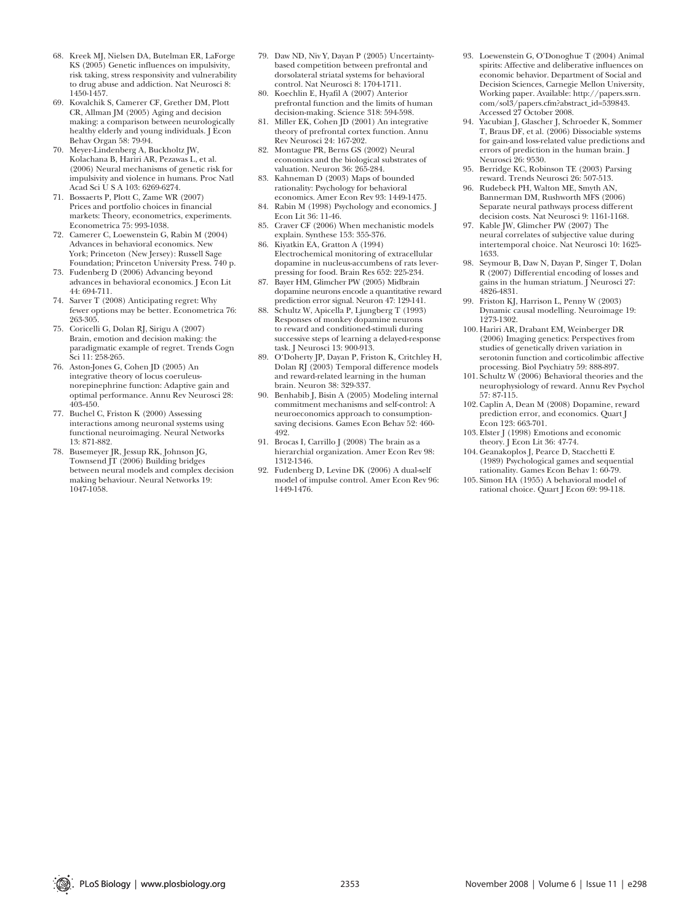- 68. Kreek MJ, Nielsen DA, Butelman ER, LaForge KS (2005) Genetic influences on impulsivity, risk taking, stress responsivity and vulnerability to drug abuse and addiction. Nat Neurosci 8: 1450-1457.
- 69. Kovalchik S, Camerer CF, Grether DM, Plott CR, Allman JM (2005) Aging and decision making: a comparison between neurologically healthy elderly and young individuals. J Econ Behav Organ 58: 79-94.
- 70. Meyer-Lindenberg A, Buckholtz JW, Kolachana B, Hariri AR, Pezawas L, et al. (2006) Neural mechanisms of genetic risk for impulsivity and violence in humans. Proc Natl Acad Sci U S A 103: 6269-6274.
- 71. Bossaerts P, Plott C, Zame WR (2007) Prices and portfolio choices in financial markets: Theory, econometrics, experiments. Econometrica 75: 993-1038.
- 72. Camerer C, Loewenstein G, Rabin M (2004) Advances in behavioral economics. New York; Princeton (New Jersey): Russell Sage Foundation; Princeton University Press. 740 p.
- 73. Fudenberg D (2006) Advancing beyond advances in behavioral economics. J Econ Lit 44: 694-711.
- Sarver T (2008) Anticipating regret: Why fewer options may be better. Econometrica 76: 263-305.
- 75. Coricelli G, Dolan RJ, Sirigu A (2007) Brain, emotion and decision making: the paradigmatic example of regret. Trends Cogn Sci 11: 258-265.
- 76. Aston-Jones G, Cohen JD (2005) An integrative theory of locus coeruleusnorepinephrine function: Adaptive gain and optimal performance. Annu Rev Neurosci 28: 403-450.
- 77. Buchel C, Friston K (2000) Assessing interactions among neuronal systems using functional neuroimaging. Neural Networks 13: 871-882.
- 78. Busemeyer JR, Jessup RK, Johnson JG, Townsend JT (2006) Building bridges between neural models and complex decision making behaviour. Neural Networks 19: 1047-1058.
- 79. Daw ND, Niv Y, Dayan P (2005) Uncertaintybased competition between prefrontal and dorsolateral striatal systems for behavioral control. Nat Neurosci 8: 1704-1711.
- 80. Koechlin E, Hyafil A (2007) Anterior prefrontal function and the limits of human decision-making. Science 318: 594-598.
- 81. Miller EK, Cohen JD (2001) An integrative theory of prefrontal cortex function. Annu Rev Neurosci 24: 167-202.
- 82. Montague PR, Berns GS (2002) Neural economics and the biological substrates of valuation. Neuron 36: 265-284.
- Kahneman D (2003) Maps of bounded rationality: Psychology for behavioral economics. Amer Econ Rev 93: 1449-1475.
- 84. Rabin M (1998) Psychology and economics. J Econ Lit 36: 11-46. 85. Craver CF (2006) When mechanistic models
- explain. Synthese 153: 355-376. 86. Kiyatkin EA, Gratton A (1994) Electrochemical monitoring of extracellular
- dopamine in nucleus-accumbens of rats leverpressing for food. Brain Res 652: 225-234. 87. Bayer HM, Glimcher PW (2005) Midbrain
- dopamine neurons encode a quantitative reward prediction error signal. Neuron 47: 129-141.
- 88. Schultz W, Apicella P, Ljungberg T (1993) Responses of monkey dopamine neurons to reward and conditioned-stimuli during successive steps of learning a delayed-response task. J Neurosci 13: 900-913.
- 89. O'Doherty JP, Dayan P, Friston K, Critchley H, Dolan RJ (2003) Temporal difference models and reward-related learning in the human brain. Neuron 38: 329-337.
- 90. Benhabib J, Bisin A (2005) Modeling internal commitment mechanisms and self-control: A neuroeconomics approach to consumptionsaving decisions. Games Econ Behav 52: 460- 492.
- 91. Brocas I, Carrillo J (2008) The brain as a hierarchial organization. Amer Econ Rev 98: 1312-1346.
- 92. Fudenberg D, Levine DK (2006) A dual-self model of impulse control. Amer Econ Rev 96: 1449-1476.
- 93. Loewenstein G, O'Donoghue T (2004) Animal spirits: Affective and deliberative influences on economic behavior. Department of Social and Decision Sciences, Carnegie Mellon University, Working paper. Available: http://papers.ssrn. com/sol3/papers.cfm?abstract\_id=539843. Accessed 27 October 2008.
- 94. Yacubian J, Glascher J, Schroeder K, Sommer T, Braus DF, et al. (2006) Dissociable systems for gain-and loss-related value predictions and errors of prediction in the human brain. J Neurosci 26: 9530.
- 95. Berridge KC, Robinson TE (2003) Parsing reward. Trends Neurosci 26: 507-513.
- 96. Rudebeck PH, Walton ME, Smyth AN, Bannerman DM, Rushworth MFS (2006) Separate neural pathways process different decision costs. Nat Neurosci 9: 1161-1168.
- 97. Kable JW, Glimcher PW (2007) The neural correlates of subjective value during intertemporal choice. Nat Neurosci 10: 1625- 1633.
- 98. Seymour B, Daw N, Dayan P, Singer T, Dolan R (2007) Differential encoding of losses and gains in the human striatum. J Neurosci 27: 4826-4831.
- 99. Friston KJ, Harrison L, Penny W (2003) Dynamic causal modelling. Neuroimage 19: 1273-1302.
- 100. Hariri AR, Drabant EM, Weinberger DR (2006) Imaging genetics: Perspectives from studies of genetically driven variation in serotonin function and corticolimbic affective processing. Biol Psychiatry 59: 888-897.
- 101. Schultz W (2006) Behavioral theories and the neurophysiology of reward. Annu Rev Psychol 57: 87-115.
- 102. Caplin A, Dean M (2008) Dopamine, reward prediction error, and economics. Quart J Econ 123: 663-701.
- 103. Elster J (1998) Emotions and economic theory. J Econ Lit 36: 47-74.
- 104. Geanakoplos J, Pearce D, Stacchetti E (1989) Psychological games and sequential rationality. Games Econ Behav 1: 60-79.
- 105. Simon HA (1955) A behavioral model of rational choice. Quart J Econ 69: 99-118.